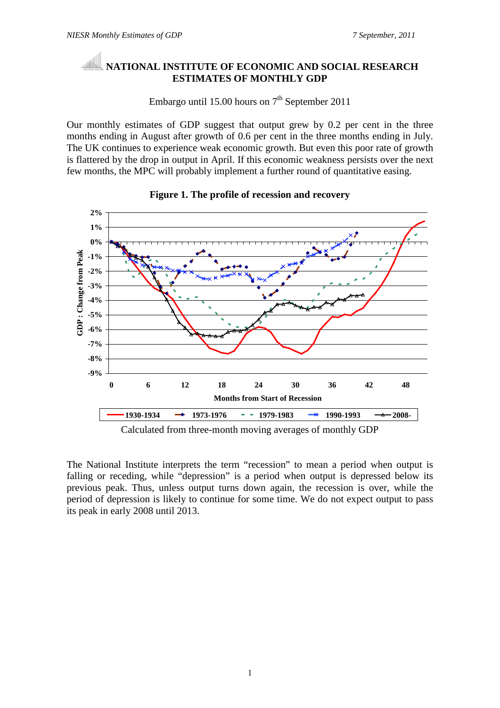## **NATIONAL INSTITUTE OF ECONOMIC AND SOCIAL RESEARCH ESTIMATES OF MONTHLY GDP**

Embargo until 15.00 hours on  $7<sup>th</sup>$  September 2011

Our monthly estimates of GDP suggest that output grew by 0.2 per cent in the three months ending in August after growth of 0.6 per cent in the three months ending in July. The UK continues to experience weak economic growth. But even this poor rate of growth is flattered by the drop in output in April. If this economic weakness persists over the next few months, the MPC will probably implement a further round of quantitative easing.



### **Figure 1. The profile of recession and recovery**

Calculated from three-month moving averages of monthly GDP

The National Institute interprets the term "recession" to mean a period when output is falling or receding, while "depression" is a period when output is depressed below its previous peak. Thus, unless output turns down again, the recession is over, while the period of depression is likely to continue for some time. We do not expect output to pass its peak in early 2008 until 2013.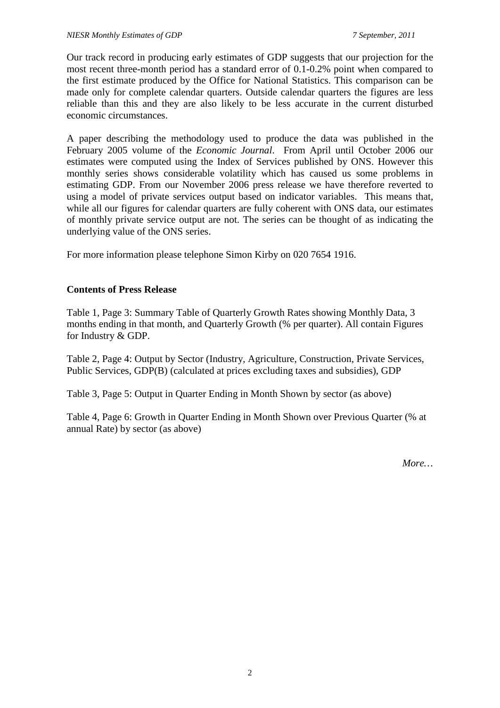Our track record in producing early estimates of GDP suggests that our projection for the most recent three-month period has a standard error of 0.1-0.2% point when compared to the first estimate produced by the Office for National Statistics. This comparison can be made only for complete calendar quarters. Outside calendar quarters the figures are less reliable than this and they are also likely to be less accurate in the current disturbed economic circumstances.

A paper describing the methodology used to produce the data was published in the February 2005 volume of the *Economic Journal*. From April until October 2006 our estimates were computed using the Index of Services published by ONS. However this monthly series shows considerable volatility which has caused us some problems in estimating GDP. From our November 2006 press release we have therefore reverted to using a model of private services output based on indicator variables. This means that, while all our figures for calendar quarters are fully coherent with ONS data, our estimates of monthly private service output are not. The series can be thought of as indicating the underlying value of the ONS series.

For more information please telephone Simon Kirby on 020 7654 1916.

### **Contents of Press Release**

Table 1, Page 3: Summary Table of Quarterly Growth Rates showing Monthly Data, 3 months ending in that month, and Quarterly Growth (% per quarter). All contain Figures for Industry & GDP.

Table 2, Page 4: Output by Sector (Industry, Agriculture, Construction, Private Services, Public Services, GDP(B) (calculated at prices excluding taxes and subsidies), GDP

Table 3, Page 5: Output in Quarter Ending in Month Shown by sector (as above)

Table 4, Page 6: Growth in Quarter Ending in Month Shown over Previous Quarter (% at annual Rate) by sector (as above)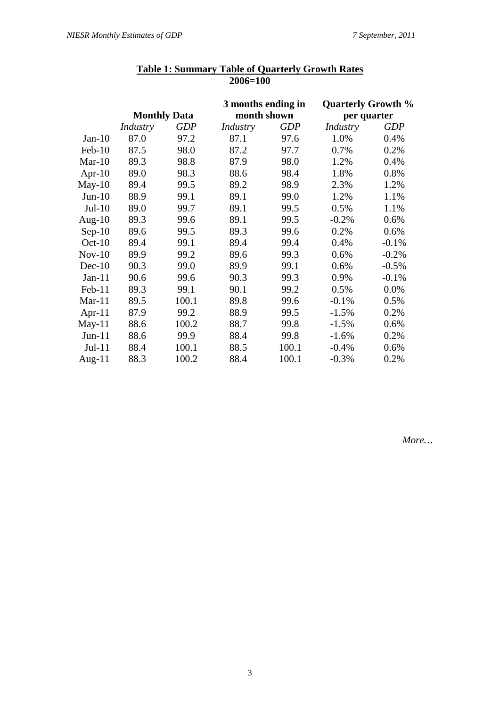|           |                     |            | 3 months ending in |            | <b>Quarterly Growth %</b> |            |  |
|-----------|---------------------|------------|--------------------|------------|---------------------------|------------|--|
|           | <b>Monthly Data</b> |            | month shown        |            | per quarter               |            |  |
|           | Industry            | <b>GDP</b> | Industry           | <b>GDP</b> | Industry                  | <b>GDP</b> |  |
| $Jan-10$  | 87.0                | 97.2       | 87.1               | 97.6       | 1.0%                      | 0.4%       |  |
| Feb-10    | 87.5                | 98.0       | 87.2               | 97.7       | 0.7%                      | 0.2%       |  |
| $Mar-10$  | 89.3                | 98.8       | 87.9               | 98.0       | 1.2%                      | 0.4%       |  |
| Apr- $10$ | 89.0                | 98.3       | 88.6               | 98.4       | 1.8%                      | 0.8%       |  |
| $May-10$  | 89.4                | 99.5       | 89.2               | 98.9       | 2.3%                      | 1.2%       |  |
| $Jun-10$  | 88.9                | 99.1       | 89.1               | 99.0       | 1.2%                      | 1.1%       |  |
| $Jul-10$  | 89.0                | 99.7       | 89.1               | 99.5       | 0.5%                      | 1.1%       |  |
| Aug- $10$ | 89.3                | 99.6       | 89.1               | 99.5       | $-0.2%$                   | 0.6%       |  |
| $Sep-10$  | 89.6                | 99.5       | 89.3               | 99.6       | 0.2%                      | 0.6%       |  |
| $Oct-10$  | 89.4                | 99.1       | 89.4               | 99.4       | 0.4%                      | $-0.1%$    |  |
| $Nov-10$  | 89.9                | 99.2       | 89.6               | 99.3       | 0.6%                      | $-0.2%$    |  |
| $Dec-10$  | 90.3                | 99.0       | 89.9               | 99.1       | 0.6%                      | $-0.5%$    |  |
| $Jan-11$  | 90.6                | 99.6       | 90.3               | 99.3       | 0.9%                      | $-0.1%$    |  |
| $Feb-11$  | 89.3                | 99.1       | 90.1               | 99.2       | 0.5%                      | 0.0%       |  |
| $Mar-11$  | 89.5                | 100.1      | 89.8               | 99.6       | $-0.1%$                   | 0.5%       |  |
| Apr- $11$ | 87.9                | 99.2       | 88.9               | 99.5       | $-1.5%$                   | 0.2%       |  |
| $May-11$  | 88.6                | 100.2      | 88.7               | 99.8       | $-1.5%$                   | 0.6%       |  |
| $Jun-11$  | 88.6                | 99.9       | 88.4               | 99.8       | $-1.6%$                   | 0.2%       |  |
| $Jul-11$  | 88.4                | 100.1      | 88.5               | 100.1      | $-0.4%$                   | 0.6%       |  |
| Aug- $11$ | 88.3                | 100.2      | 88.4               | 100.1      | $-0.3%$                   | 0.2%       |  |

#### **Table 1: Summary Table of Quarterly Growth Rates 2006=100**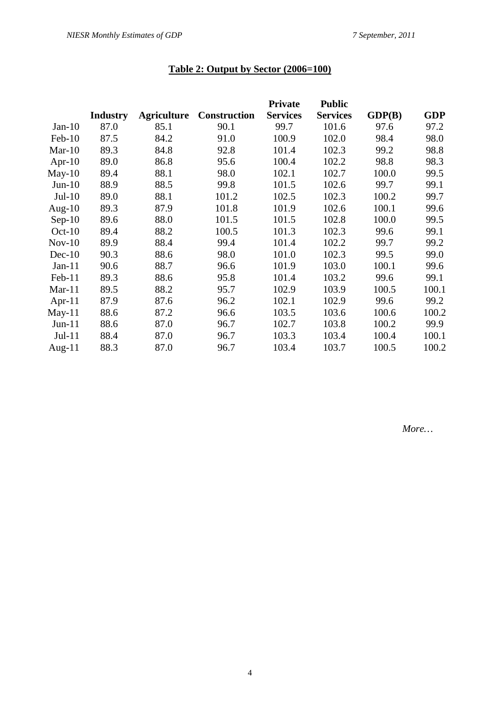# **Table 2: Output by Sector (2006=100)**

|           |                 |                    |                     | <b>Private</b>  | <b>Public</b>   |        |            |
|-----------|-----------------|--------------------|---------------------|-----------------|-----------------|--------|------------|
|           | <b>Industry</b> | <b>Agriculture</b> | <b>Construction</b> | <b>Services</b> | <b>Services</b> | GDP(B) | <b>GDP</b> |
| $Jan-10$  | 87.0            | 85.1               | 90.1                | 99.7            | 101.6           | 97.6   | 97.2       |
| $Feb-10$  | 87.5            | 84.2               | 91.0                | 100.9           | 102.0           | 98.4   | 98.0       |
| $Mar-10$  | 89.3            | 84.8               | 92.8                | 101.4           | 102.3           | 99.2   | 98.8       |
| Apr- $10$ | 89.0            | 86.8               | 95.6                | 100.4           | 102.2           | 98.8   | 98.3       |
| $May-10$  | 89.4            | 88.1               | 98.0                | 102.1           | 102.7           | 100.0  | 99.5       |
| $Jun-10$  | 88.9            | 88.5               | 99.8                | 101.5           | 102.6           | 99.7   | 99.1       |
| $Jul-10$  | 89.0            | 88.1               | 101.2               | 102.5           | 102.3           | 100.2  | 99.7       |
| Aug- $10$ | 89.3            | 87.9               | 101.8               | 101.9           | 102.6           | 100.1  | 99.6       |
| $Sep-10$  | 89.6            | 88.0               | 101.5               | 101.5           | 102.8           | 100.0  | 99.5       |
| $Oct-10$  | 89.4            | 88.2               | 100.5               | 101.3           | 102.3           | 99.6   | 99.1       |
| $Nov-10$  | 89.9            | 88.4               | 99.4                | 101.4           | 102.2           | 99.7   | 99.2       |
| $Dec-10$  | 90.3            | 88.6               | 98.0                | 101.0           | 102.3           | 99.5   | 99.0       |
| $Jan-11$  | 90.6            | 88.7               | 96.6                | 101.9           | 103.0           | 100.1  | 99.6       |
| Feb-11    | 89.3            | 88.6               | 95.8                | 101.4           | 103.2           | 99.6   | 99.1       |
| $Mar-11$  | 89.5            | 88.2               | 95.7                | 102.9           | 103.9           | 100.5  | 100.1      |
| Apr-11    | 87.9            | 87.6               | 96.2                | 102.1           | 102.9           | 99.6   | 99.2       |
| $May-11$  | 88.6            | 87.2               | 96.6                | 103.5           | 103.6           | 100.6  | 100.2      |
| $Jun-11$  | 88.6            | 87.0               | 96.7                | 102.7           | 103.8           | 100.2  | 99.9       |
| $Jul-11$  | 88.4            | 87.0               | 96.7                | 103.3           | 103.4           | 100.4  | 100.1      |
| Aug- $11$ | 88.3            | 87.0               | 96.7                | 103.4           | 103.7           | 100.5  | 100.2      |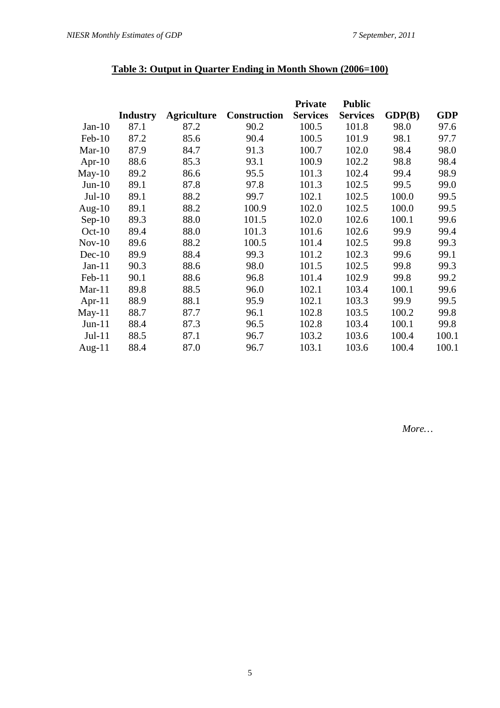## **Table 3: Output in Quarter Ending in Month Shown (2006=100)**

|           |                 |                    |                     | <b>Private</b>  | <b>Public</b>   |        |            |
|-----------|-----------------|--------------------|---------------------|-----------------|-----------------|--------|------------|
|           | <b>Industry</b> | <b>Agriculture</b> | <b>Construction</b> | <b>Services</b> | <b>Services</b> | GDP(B) | <b>GDP</b> |
| $Jan-10$  | 87.1            | 87.2               | 90.2                | 100.5           | 101.8           | 98.0   | 97.6       |
| $Feb-10$  | 87.2            | 85.6               | 90.4                | 100.5           | 101.9           | 98.1   | 97.7       |
| $Mar-10$  | 87.9            | 84.7               | 91.3                | 100.7           | 102.0           | 98.4   | 98.0       |
| Apr- $10$ | 88.6            | 85.3               | 93.1                | 100.9           | 102.2           | 98.8   | 98.4       |
| $May-10$  | 89.2            | 86.6               | 95.5                | 101.3           | 102.4           | 99.4   | 98.9       |
| $Jun-10$  | 89.1            | 87.8               | 97.8                | 101.3           | 102.5           | 99.5   | 99.0       |
| $Jul-10$  | 89.1            | 88.2               | 99.7                | 102.1           | 102.5           | 100.0  | 99.5       |
| Aug- $10$ | 89.1            | 88.2               | 100.9               | 102.0           | 102.5           | 100.0  | 99.5       |
| $Sep-10$  | 89.3            | 88.0               | 101.5               | 102.0           | 102.6           | 100.1  | 99.6       |
| $Oct-10$  | 89.4            | 88.0               | 101.3               | 101.6           | 102.6           | 99.9   | 99.4       |
| $Nov-10$  | 89.6            | 88.2               | 100.5               | 101.4           | 102.5           | 99.8   | 99.3       |
| $Dec-10$  | 89.9            | 88.4               | 99.3                | 101.2           | 102.3           | 99.6   | 99.1       |
| $Jan-11$  | 90.3            | 88.6               | 98.0                | 101.5           | 102.5           | 99.8   | 99.3       |
| Feb-11    | 90.1            | 88.6               | 96.8                | 101.4           | 102.9           | 99.8   | 99.2       |
| $Mar-11$  | 89.8            | 88.5               | 96.0                | 102.1           | 103.4           | 100.1  | 99.6       |
| Apr-11    | 88.9            | 88.1               | 95.9                | 102.1           | 103.3           | 99.9   | 99.5       |
| $May-11$  | 88.7            | 87.7               | 96.1                | 102.8           | 103.5           | 100.2  | 99.8       |
| $Jun-11$  | 88.4            | 87.3               | 96.5                | 102.8           | 103.4           | 100.1  | 99.8       |
| $Jul-11$  | 88.5            | 87.1               | 96.7                | 103.2           | 103.6           | 100.4  | 100.1      |
| Aug- $11$ | 88.4            | 87.0               | 96.7                | 103.1           | 103.6           | 100.4  | 100.1      |